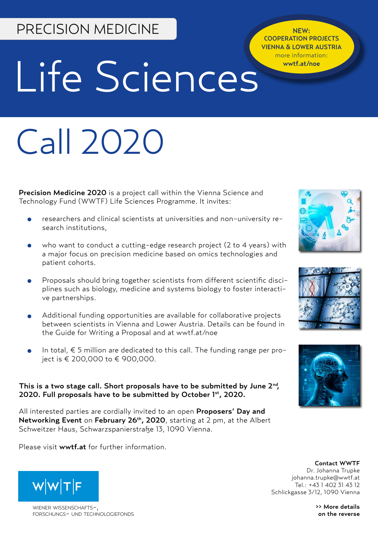# PRECISION MEDICINE

NEW: COOPERATION PROJECTS VIENNA & LOWER AUSTRIA more information: wwtf.at/noe

# Life Sciences

# Call 2020

Precision Medicine 2020 is a project call within the Vienna Science and Technology Fund (WWTF) Life Sciences Programme. It invites:

- researchers and clinical scientists at universities and non-university research institutions,
- who want to conduct a cutting-edge research project (2 to 4 years) with a major focus on precision medicine based on omics technologies and patient cohorts.
- Proposals should bring together scientists from different scientific disciplines such as biology, medicine and systems biology to foster interactive partnerships.
- Additional funding opportunities are available for collaborative projects between scientists in Vienna and Lower Austria. Details can be found in the Guide for Writing a Proposal and at wwtf.at/noe
- In total,  $\epsilon$  5 million are dedicated to this call. The funding range per project is € 200,000 to € 900,000.

#### This is a two stage call. Short proposals have to be submitted by June 2<sup>nd</sup>,<br>2020. Full proposals have to be submitted by October 1st, 2020. 2020. Full proposals have to be submitted by October  $1<sup>st</sup>$ , 2020.

All interested parties are cordially invited to an open Proposers' Day and Networking Event on February 26<sup>th</sup>, 2020, starting at 2 pm, at the Albert Schweitzer Haus, Schwarzspanierstraße 13, 1090 Vienna.

Please visit wwtf.at for further information.







Contact WWTF Dr. Johanna Trupke johanna.trupke@wwtf.at Tel.: +43 1 402 31 43 12 Schlickgasse 3/12, 1090 Vienna

> >> More details on the reverse



WIENER WISSENSCHAFTSforschungs- und technologiefonds